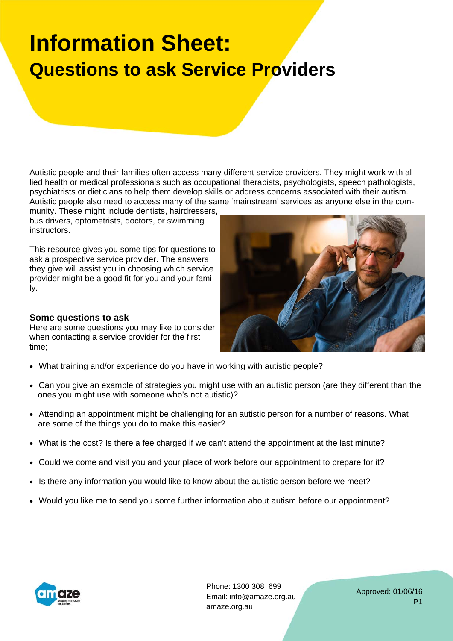## **Information Sheet: Questions to ask Service Providers**

Autistic people and their families often access many different service providers. They might work with allied health or medical professionals such as occupational therapists, psychologists, speech pathologists, psychiatrists or dieticians to help them develop skills or address concerns associated with their autism. Autistic people also need to access many of the same 'mainstream' services as anyone else in the com-

munity. These might include dentists, hairdressers, bus drivers, optometrists, doctors, or swimming instructors.

This resource gives you some tips for questions to ask a prospective service provider. The answers they give will assist you in choosing which service provider might be a good fit for you and your family.

## **Some questions to ask**

Here are some questions you may like to consider when contacting a service provider for the first time;



- Can you give an example of strategies you might use with an autistic person (are they different than the ones you might use with someone who's not autistic)?
- Attending an appointment might be challenging for an autistic person for a number of reasons. What are some of the things you do to make this easier?
- What is the cost? Is there a fee charged if we can't attend the appointment at the last minute?
- Could we come and visit you and your place of work before our appointment to prepare for it?
- Is there any information you would like to know about the autistic person before we meet?
- Would you like me to send you some further information about autism before our appointment?



Phone: 1300 308 699 Email: info@amaze.org.au amaze.org.au

Approved: 01/06/16 P1